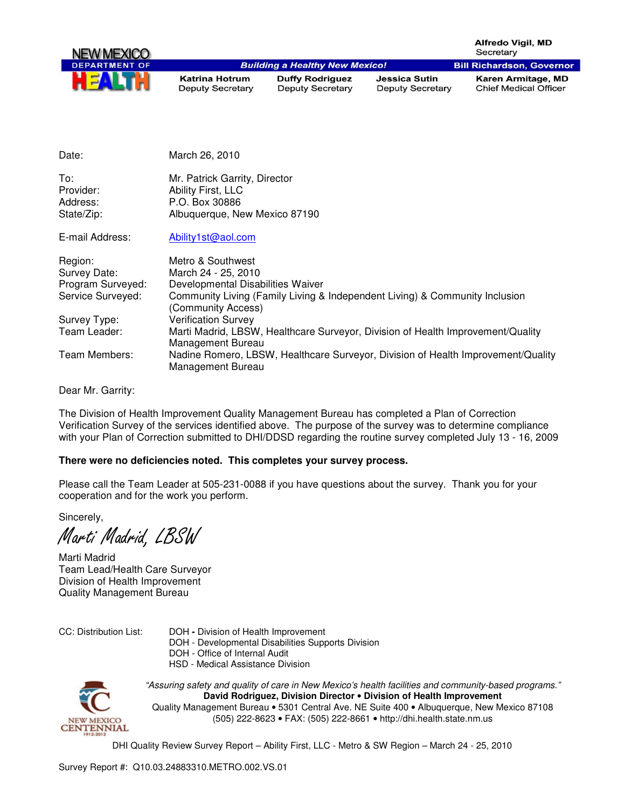

**Katrina Hotrum Deputy Secretary** 

**Building a Healthy New Mexico! Duffy Rodriguez Deputy Secretary** 

**Jessica Sutin Deputy Secretary** 

Karen Armitage, MD **Chief Medical Officer** 

| Date:                        | March 26, 2010                                                                                        |
|------------------------------|-------------------------------------------------------------------------------------------------------|
| To:<br>Provider:<br>Address: | Mr. Patrick Garrity, Director<br>Ability First, LLC<br>P.O. Box 30886                                 |
| State/Zip:                   | Albuquerque, New Mexico 87190                                                                         |
| E-mail Address:              | Ability1st@aol.com                                                                                    |
| Region:                      | Metro & Southwest                                                                                     |
| Survey Date:                 | March 24 - 25, 2010                                                                                   |
| Program Surveyed:            | Developmental Disabilities Waiver                                                                     |
| Service Surveyed:            | Community Living (Family Living & Independent Living) & Community Inclusion<br>(Community Access)     |
| Survey Type:                 | <b>Verification Survey</b>                                                                            |
| Team Leader:                 | Marti Madrid, LBSW, Healthcare Surveyor, Division of Health Improvement/Quality<br>Management Bureau  |
| Team Members:                | Nadine Romero, LBSW, Healthcare Surveyor, Division of Health Improvement/Quality<br>Management Bureau |

Dear Mr. Garrity:

The Division of Health Improvement Quality Management Bureau has completed a Plan of Correction Verification Survey of the services identified above. The purpose of the survey was to determine compliance with your Plan of Correction submitted to DHI/DDSD regarding the routine survey completed July 13 - 16, 2009

## **There were no deficiencies noted. This completes your survey process.**

Please call the Team Leader at 505-231-0088 if you have questions about the survey. Thank you for your cooperation and for the work you perform.

Sincerely,

Marti Madrid, LBSW

Marti Madrid Team Lead/Health Care Surveyor Division of Health Improvement Quality Management Bureau

- CC: Distribution List: DOHDivision of Health Improvement
	- DOH Developmental Disabilities Supports Division
	- DOH Office of Internal Audit
	- HSD Medical Assistance Division



"Assuring safety and quality of care in New Mexico's health facilities and community-based programs." **David Rodriguez, Division Director** • **Division of Health Improvement**  Quality Management Bureau • 5301 Central Ave. NE Suite 400 • Albuquerque, New Mexico 87108 (505) 222-8623 • FAX: (505) 222-8661 • http://dhi.health.state.nm.us

DHI Quality Review Survey Report – Ability First, LLC - Metro & SW Region – March 24 - 25, 2010